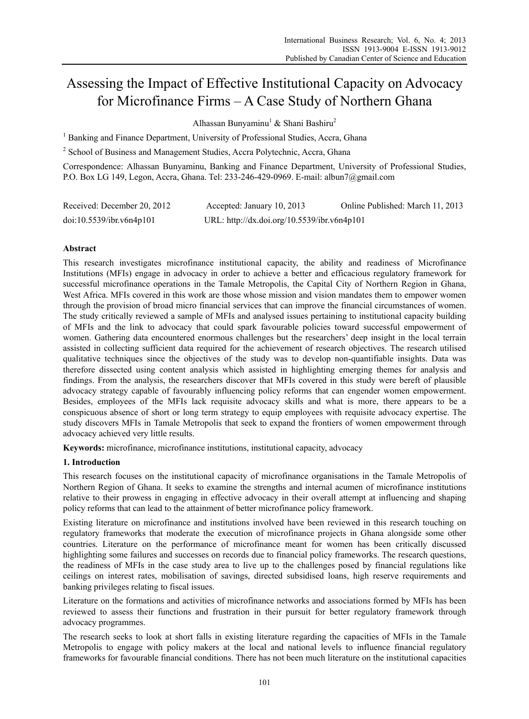# Assessing the Impact of Effective Institutional Capacity on Advocacy for Microfinance Firms – A Case Study of Northern Ghana

Alhassan Bunyaminu<sup>1</sup> & Shani Bashiru<sup>2</sup>

<sup>1</sup> Banking and Finance Department, University of Professional Studies, Accra, Ghana

<sup>2</sup> School of Business and Management Studies, Accra Polytechnic, Accra, Ghana

Correspondence: Alhassan Bunyaminu, Banking and Finance Department, University of Professional Studies, P.O. Box LG 149, Legon, Accra, Ghana. Tel: 233-246-429-0969. E-mail: albun7@gmail.com

| Received: December 20, 2012 | Accepted: January 10, 2013                  | Online Published: March 11, 2013 |
|-----------------------------|---------------------------------------------|----------------------------------|
| doi:10.5539/ibr.v6n4p101    | URL: http://dx.doi.org/10.5539/ibr.v6n4p101 |                                  |

# **Abstract**

This research investigates microfinance institutional capacity, the ability and readiness of Microfinance Institutions (MFIs) engage in advocacy in order to achieve a better and efficacious regulatory framework for successful microfinance operations in the Tamale Metropolis, the Capital City of Northern Region in Ghana, West Africa. MFIs covered in this work are those whose mission and vision mandates them to empower women through the provision of broad micro financial services that can improve the financial circumstances of women. The study critically reviewed a sample of MFIs and analysed issues pertaining to institutional capacity building of MFIs and the link to advocacy that could spark favourable policies toward successful empowerment of women. Gathering data encountered enormous challenges but the researchers' deep insight in the local terrain assisted in collecting sufficient data required for the achievement of research objectives. The research utilised qualitative techniques since the objectives of the study was to develop non-quantifiable insights. Data was therefore dissected using content analysis which assisted in highlighting emerging themes for analysis and findings. From the analysis, the researchers discover that MFIs covered in this study were bereft of plausible advocacy strategy capable of favourably influencing policy reforms that can engender women empowerment. Besides, employees of the MFIs lack requisite advocacy skills and what is more, there appears to be a conspicuous absence of short or long term strategy to equip employees with requisite advocacy expertise. The study discovers MFIs in Tamale Metropolis that seek to expand the frontiers of women empowerment through advocacy achieved very little results.

**Keywords:** microfinance, microfinance institutions, institutional capacity, advocacy

# **1. Introduction**

This research focuses on the institutional capacity of microfinance organisations in the Tamale Metropolis of Northern Region of Ghana. It seeks to examine the strengths and internal acumen of microfinance institutions relative to their prowess in engaging in effective advocacy in their overall attempt at influencing and shaping policy reforms that can lead to the attainment of better microfinance policy framework.

Existing literature on microfinance and institutions involved have been reviewed in this research touching on regulatory frameworks that moderate the execution of microfinance projects in Ghana alongside some other countries. Literature on the performance of microfinance meant for women has been critically discussed highlighting some failures and successes on records due to financial policy frameworks. The research questions, the readiness of MFIs in the case study area to live up to the challenges posed by financial regulations like ceilings on interest rates, mobilisation of savings, directed subsidised loans, high reserve requirements and banking privileges relating to fiscal issues.

Literature on the formations and activities of microfinance networks and associations formed by MFIs has been reviewed to assess their functions and frustration in their pursuit for better regulatory framework through advocacy programmes.

The research seeks to look at short falls in existing literature regarding the capacities of MFIs in the Tamale Metropolis to engage with policy makers at the local and national levels to influence financial regulatory frameworks for favourable financial conditions. There has not been much literature on the institutional capacities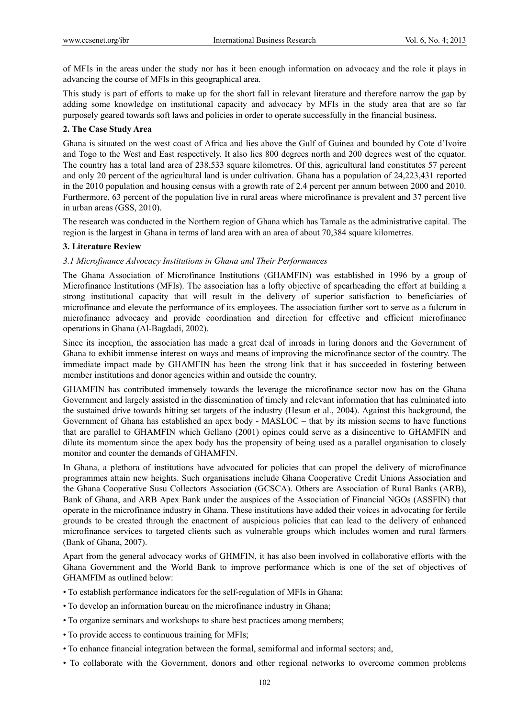of MFIs in the areas under the study nor has it been enough information on advocacy and the role it plays in advancing the course of MFIs in this geographical area.

This study is part of efforts to make up for the short fall in relevant literature and therefore narrow the gap by adding some knowledge on institutional capacity and advocacy by MFIs in the study area that are so far purposely geared towards soft laws and policies in order to operate successfully in the financial business.

# **2. The Case Study Area**

Ghana is situated on the west coast of Africa and lies above the Gulf of Guinea and bounded by Cote d'Ivoire and Togo to the West and East respectively. It also lies 800 degrees north and 200 degrees west of the equator. The country has a total land area of 238,533 square kilometres. Of this, agricultural land constitutes 57 percent and only 20 percent of the agricultural land is under cultivation. Ghana has a population of 24,223,431 reported in the 2010 population and housing census with a growth rate of 2.4 percent per annum between 2000 and 2010. Furthermore, 63 percent of the population live in rural areas where microfinance is prevalent and 37 percent live in urban areas (GSS, 2010).

The research was conducted in the Northern region of Ghana which has Tamale as the administrative capital. The region is the largest in Ghana in terms of land area with an area of about 70,384 square kilometres.

# **3. Literature Review**

# *3.1 Microfinance Advocacy Institutions in Ghana and Their Performances*

The Ghana Association of Microfinance Institutions (GHAMFIN) was established in 1996 by a group of Microfinance Institutions (MFIs). The association has a lofty objective of spearheading the effort at building a strong institutional capacity that will result in the delivery of superior satisfaction to beneficiaries of microfinance and elevate the performance of its employees. The association further sort to serve as a fulcrum in microfinance advocacy and provide coordination and direction for effective and efficient microfinance operations in Ghana (Al-Bagdadi, 2002).

Since its inception, the association has made a great deal of inroads in luring donors and the Government of Ghana to exhibit immense interest on ways and means of improving the microfinance sector of the country. The immediate impact made by GHAMFIN has been the strong link that it has succeeded in fostering between member institutions and donor agencies within and outside the country.

GHAMFIN has contributed immensely towards the leverage the microfinance sector now has on the Ghana Government and largely assisted in the dissemination of timely and relevant information that has culminated into the sustained drive towards hitting set targets of the industry (Hesun et al., 2004). Against this background, the Government of Ghana has established an apex body - MASLOC – that by its mission seems to have functions that are parallel to GHAMFIN which Gellano (2001) opines could serve as a disincentive to GHAMFIN and dilute its momentum since the apex body has the propensity of being used as a parallel organisation to closely monitor and counter the demands of GHAMFIN.

In Ghana, a plethora of institutions have advocated for policies that can propel the delivery of microfinance programmes attain new heights. Such organisations include Ghana Cooperative Credit Unions Association and the Ghana Cooperative Susu Collectors Association (GCSCA). Others are Association of Rural Banks (ARB), Bank of Ghana, and ARB Apex Bank under the auspices of the Association of Financial NGOs (ASSFIN) that operate in the microfinance industry in Ghana. These institutions have added their voices in advocating for fertile grounds to be created through the enactment of auspicious policies that can lead to the delivery of enhanced microfinance services to targeted clients such as vulnerable groups which includes women and rural farmers (Bank of Ghana, 2007).

Apart from the general advocacy works of GHMFIN, it has also been involved in collaborative efforts with the Ghana Government and the World Bank to improve performance which is one of the set of objectives of GHAMFIM as outlined below:

- To establish performance indicators for the self-regulation of MFIs in Ghana;
- To develop an information bureau on the microfinance industry in Ghana;
- To organize seminars and workshops to share best practices among members;
- To provide access to continuous training for MFIs;
- To enhance financial integration between the formal, semiformal and informal sectors; and,
- To collaborate with the Government, donors and other regional networks to overcome common problems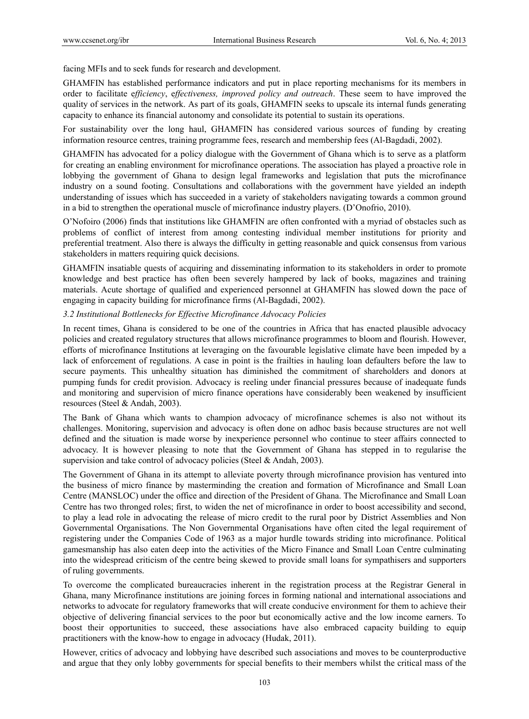facing MFIs and to seek funds for research and development.

GHAMFIN has established performance indicators and put in place reporting mechanisms for its members in order to facilitate e*fficiency*, e*ffectiveness, improved policy and outreach*. These seem to have improved the quality of services in the network. As part of its goals, GHAMFIN seeks to upscale its internal funds generating capacity to enhance its financial autonomy and consolidate its potential to sustain its operations.

For sustainability over the long haul, GHAMFIN has considered various sources of funding by creating information resource centres, training programme fees, research and membership fees (Al-Bagdadi, 2002).

GHAMFIN has advocated for a policy dialogue with the Government of Ghana which is to serve as a platform for creating an enabling environment for microfinance operations. The association has played a proactive role in lobbying the government of Ghana to design legal frameworks and legislation that puts the microfinance industry on a sound footing. Consultations and collaborations with the government have yielded an indepth understanding of issues which has succeeded in a variety of stakeholders navigating towards a common ground in a bid to strengthen the operational muscle of microfinance industry players. (D'Onofrio, 2010).

O'Nofoiro (2006) finds that institutions like GHAMFIN are often confronted with a myriad of obstacles such as problems of conflict of interest from among contesting individual member institutions for priority and preferential treatment. Also there is always the difficulty in getting reasonable and quick consensus from various stakeholders in matters requiring quick decisions.

GHAMFIN insatiable quests of acquiring and disseminating information to its stakeholders in order to promote knowledge and best practice has often been severely hampered by lack of books, magazines and training materials. Acute shortage of qualified and experienced personnel at GHAMFIN has slowed down the pace of engaging in capacity building for microfinance firms (Al-Bagdadi, 2002).

# *3.2 Institutional Bottlenecks for Effective Microfinance Advocacy Policies*

In recent times, Ghana is considered to be one of the countries in Africa that has enacted plausible advocacy policies and created regulatory structures that allows microfinance programmes to bloom and flourish. However, efforts of microfinance Institutions at leveraging on the favourable legislative climate have been impeded by a lack of enforcement of regulations. A case in point is the frailties in hauling loan defaulters before the law to secure payments. This unhealthy situation has diminished the commitment of shareholders and donors at pumping funds for credit provision. Advocacy is reeling under financial pressures because of inadequate funds and monitoring and supervision of micro finance operations have considerably been weakened by insufficient resources (Steel & Andah, 2003).

The Bank of Ghana which wants to champion advocacy of microfinance schemes is also not without its challenges. Monitoring, supervision and advocacy is often done on adhoc basis because structures are not well defined and the situation is made worse by inexperience personnel who continue to steer affairs connected to advocacy. It is however pleasing to note that the Government of Ghana has stepped in to regularise the supervision and take control of advocacy policies (Steel & Andah, 2003).

The Government of Ghana in its attempt to alleviate poverty through microfinance provision has ventured into the business of micro finance by masterminding the creation and formation of Microfinance and Small Loan Centre (MANSLOC) under the office and direction of the President of Ghana. The Microfinance and Small Loan Centre has two thronged roles; first, to widen the net of microfinance in order to boost accessibility and second, to play a lead role in advocating the release of micro credit to the rural poor by District Assemblies and Non Governmental Organisations. The Non Governmental Organisations have often cited the legal requirement of registering under the Companies Code of 1963 as a major hurdle towards striding into microfinance. Political gamesmanship has also eaten deep into the activities of the Micro Finance and Small Loan Centre culminating into the widespread criticism of the centre being skewed to provide small loans for sympathisers and supporters of ruling governments.

To overcome the complicated bureaucracies inherent in the registration process at the Registrar General in Ghana, many Microfinance institutions are joining forces in forming national and international associations and networks to advocate for regulatory frameworks that will create conducive environment for them to achieve their objective of delivering financial services to the poor but economically active and the low income earners. To boost their opportunities to succeed, these associations have also embraced capacity building to equip practitioners with the know-how to engage in advocacy (Hudak, 2011).

However, critics of advocacy and lobbying have described such associations and moves to be counterproductive and argue that they only lobby governments for special benefits to their members whilst the critical mass of the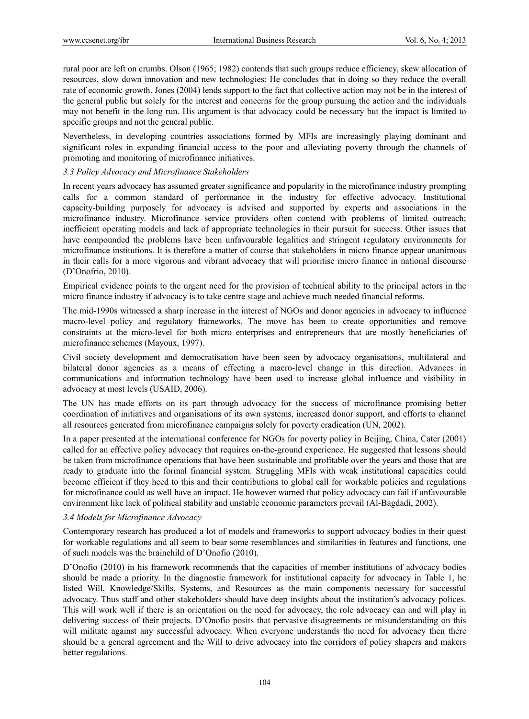rural poor are left on crumbs. Olson (1965; 1982) contends that such groups reduce efficiency, skew allocation of resources, slow down innovation and new technologies: He concludes that in doing so they reduce the overall rate of economic growth. Jones (2004) lends support to the fact that collective action may not be in the interest of the general public but solely for the interest and concerns for the group pursuing the action and the individuals may not benefit in the long run. His argument is that advocacy could be necessary but the impact is limited to specific groups and not the general public.

Nevertheless, in developing countries associations formed by MFIs are increasingly playing dominant and significant roles in expanding financial access to the poor and alleviating poverty through the channels of promoting and monitoring of microfinance initiatives.

## *3.3 Policy Advocacy and Microfinance Stakeholders*

In recent years advocacy has assumed greater significance and popularity in the microfinance industry prompting calls for a common standard of performance in the industry for effective advocacy. Institutional capacity-building purposely for advocacy is advised and supported by experts and associations in the microfinance industry. Microfinance service providers often contend with problems of limited outreach; inefficient operating models and lack of appropriate technologies in their pursuit for success. Other issues that have compounded the problems have been unfavourable legalities and stringent regulatory environments for microfinance institutions. It is therefore a matter of course that stakeholders in micro finance appear unanimous in their calls for a more vigorous and vibrant advocacy that will prioritise micro finance in national discourse (D'Onofrio, 2010).

Empirical evidence points to the urgent need for the provision of technical ability to the principal actors in the micro finance industry if advocacy is to take centre stage and achieve much needed financial reforms.

The mid-1990s witnessed a sharp increase in the interest of NGOs and donor agencies in advocacy to influence macro-level policy and regulatory frameworks. The move has been to create opportunities and remove constraints at the micro-level for both micro enterprises and entrepreneurs that are mostly beneficiaries of microfinance schemes (Mayoux, 1997).

Civil society development and democratisation have been seen by advocacy organisations, multilateral and bilateral donor agencies as a means of effecting a macro-level change in this direction. Advances in communications and information technology have been used to increase global influence and visibility in advocacy at most levels (USAID, 2006).

The UN has made efforts on its part through advocacy for the success of microfinance promising better coordination of initiatives and organisations of its own systems, increased donor support, and efforts to channel all resources generated from microfinance campaigns solely for poverty eradication (UN, 2002).

In a paper presented at the international conference for NGOs for poverty policy in Beijing, China, Cater (2001) called for an effective policy advocacy that requires on-the-ground experience. He suggested that lessons should be taken from microfinance operations that have been sustainable and profitable over the years and those that are ready to graduate into the formal financial system. Struggling MFIs with weak institutional capacities could become efficient if they heed to this and their contributions to global call for workable policies and regulations for microfinance could as well have an impact. He however warned that policy advocacy can fail if unfavourable environment like lack of political stability and unstable economic parameters prevail (Al-Bagdadi, 2002).

## *3.4 Models for Microfinance Advocacy*

Contemporary research has produced a lot of models and frameworks to support advocacy bodies in their quest for workable regulations and all seem to bear some resemblances and similarities in features and functions, one of such models was the brainchild of D'Onofio (2010).

D'Onofio (2010) in his framework recommends that the capacities of member institutions of advocacy bodies should be made a priority. In the diagnostic framework for institutional capacity for advocacy in Table 1, he listed Will, Knowledge/Skills, Systems, and Resources as the main components necessary for successful advocacy. Thus staff and other stakeholders should have deep insights about the institution's advocacy polices. This will work well if there is an orientation on the need for advocacy, the role advocacy can and will play in delivering success of their projects. D'Onofio posits that pervasive disagreements or misunderstanding on this will militate against any successful advocacy. When everyone understands the need for advocacy then there should be a general agreement and the Will to drive advocacy into the corridors of policy shapers and makers better regulations.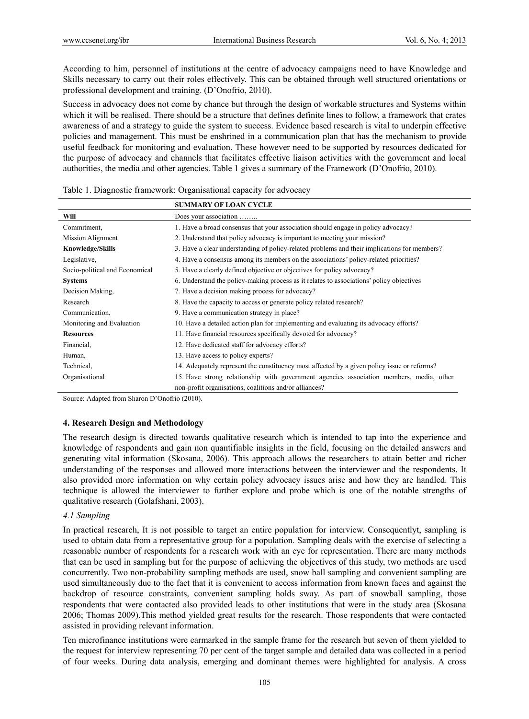According to him, personnel of institutions at the centre of advocacy campaigns need to have Knowledge and Skills necessary to carry out their roles effectively. This can be obtained through well structured orientations or professional development and training. (D'Onofrio, 2010).

Success in advocacy does not come by chance but through the design of workable structures and Systems within which it will be realised. There should be a structure that defines definite lines to follow, a framework that crates awareness of and a strategy to guide the system to success. Evidence based research is vital to underpin effective policies and management. This must be enshrined in a communication plan that has the mechanism to provide useful feedback for monitoring and evaluation. These however need to be supported by resources dedicated for the purpose of advocacy and channels that facilitates effective liaison activities with the government and local authorities, the media and other agencies. Table 1 gives a summary of the Framework (D'Onofrio, 2010).

|                                | <b>SUMMARY OF LOAN CYCLE</b>                                                                 |  |  |  |  |
|--------------------------------|----------------------------------------------------------------------------------------------|--|--|--|--|
| Will                           | Does your association                                                                        |  |  |  |  |
| Commitment.                    | 1. Have a broad consensus that your association should engage in policy advocacy?            |  |  |  |  |
| Mission Alignment              | 2. Understand that policy advocacy is important to meeting your mission?                     |  |  |  |  |
| <b>Knowledge/Skills</b>        | 3. Have a clear understanding of policy-related problems and their implications for members? |  |  |  |  |
| Legislative,                   | 4. Have a consensus among its members on the associations' policy-related priorities?        |  |  |  |  |
| Socio-political and Economical | 5. Have a clearly defined objective or objectives for policy advocacy?                       |  |  |  |  |
| <b>Systems</b>                 | 6. Understand the policy-making process as it relates to associations' policy objectives     |  |  |  |  |
| Decision Making,               | 7. Have a decision making process for advocacy?                                              |  |  |  |  |
| Research                       | 8. Have the capacity to access or generate policy related research?                          |  |  |  |  |
| Communication,                 | 9. Have a communication strategy in place?                                                   |  |  |  |  |
| Monitoring and Evaluation      | 10. Have a detailed action plan for implementing and evaluating its advocacy efforts?        |  |  |  |  |
| <b>Resources</b>               | 11. Have financial resources specifically devoted for advocacy?                              |  |  |  |  |
| Financial,                     | 12. Have dedicated staff for advocacy efforts?                                               |  |  |  |  |
| Human.                         | 13. Have access to policy experts?                                                           |  |  |  |  |
| Technical,                     | 14. Adequately represent the constituency most affected by a given policy issue or reforms?  |  |  |  |  |
| Organisational                 | 15. Have strong relationship with government agencies association members, media, other      |  |  |  |  |
|                                | non-profit organisations, coalitions and/or alliances?                                       |  |  |  |  |

Table 1. Diagnostic framework: Organisational capacity for advocacy

Source: Adapted from Sharon D'Onofrio (2010).

## **4. Research Design and Methodology**

The research design is directed towards qualitative research which is intended to tap into the experience and knowledge of respondents and gain non quantifiable insights in the field, focusing on the detailed answers and generating vital information (Skosana, 2006). This approach allows the researchers to attain better and richer understanding of the responses and allowed more interactions between the interviewer and the respondents. It also provided more information on why certain policy advocacy issues arise and how they are handled. This technique is allowed the interviewer to further explore and probe which is one of the notable strengths of qualitative research (Golafshani, 2003).

#### *4.1 Sampling*

In practical research, It is not possible to target an entire population for interview. Consequentlyt, sampling is used to obtain data from a representative group for a population. Sampling deals with the exercise of selecting a reasonable number of respondents for a research work with an eye for representation. There are many methods that can be used in sampling but for the purpose of achieving the objectives of this study, two methods are used concurrently. Two non-probability sampling methods are used, snow ball sampling and convenient sampling are used simultaneously due to the fact that it is convenient to access information from known faces and against the backdrop of resource constraints, convenient sampling holds sway. As part of snowball sampling, those respondents that were contacted also provided leads to other institutions that were in the study area (Skosana 2006; Thomas 2009).This method yielded great results for the research. Those respondents that were contacted assisted in providing relevant information.

Ten microfinance institutions were earmarked in the sample frame for the research but seven of them yielded to the request for interview representing 70 per cent of the target sample and detailed data was collected in a period of four weeks. During data analysis, emerging and dominant themes were highlighted for analysis. A cross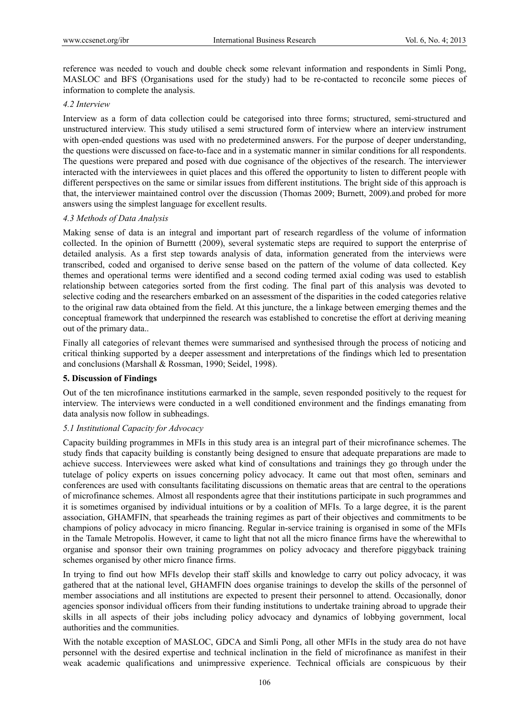reference was needed to vouch and double check some relevant information and respondents in Simli Pong, MASLOC and BFS (Organisations used for the study) had to be re-contacted to reconcile some pieces of information to complete the analysis.

## *4.2 Interview*

Interview as a form of data collection could be categorised into three forms; structured, semi-structured and unstructured interview. This study utilised a semi structured form of interview where an interview instrument with open-ended questions was used with no predetermined answers. For the purpose of deeper understanding, the questions were discussed on face-to-face and in a systematic manner in similar conditions for all respondents. The questions were prepared and posed with due cognisance of the objectives of the research. The interviewer interacted with the interviewees in quiet places and this offered the opportunity to listen to different people with different perspectives on the same or similar issues from different institutions. The bright side of this approach is that, the interviewer maintained control over the discussion (Thomas 2009; Burnett, 2009).and probed for more answers using the simplest language for excellent results.

## *4.3 Methods of Data Analysis*

Making sense of data is an integral and important part of research regardless of the volume of information collected. In the opinion of Burnettt (2009), several systematic steps are required to support the enterprise of detailed analysis. As a first step towards analysis of data, information generated from the interviews were transcribed, coded and organised to derive sense based on the pattern of the volume of data collected. Key themes and operational terms were identified and a second coding termed axial coding was used to establish relationship between categories sorted from the first coding. The final part of this analysis was devoted to selective coding and the researchers embarked on an assessment of the disparities in the coded categories relative to the original raw data obtained from the field. At this juncture, the a linkage between emerging themes and the conceptual framework that underpinned the research was established to concretise the effort at deriving meaning out of the primary data..

Finally all categories of relevant themes were summarised and synthesised through the process of noticing and critical thinking supported by a deeper assessment and interpretations of the findings which led to presentation and conclusions (Marshall & Rossman, 1990; Seidel, 1998).

## **5. Discussion of Findings**

Out of the ten microfinance institutions earmarked in the sample, seven responded positively to the request for interview. The interviews were conducted in a well conditioned environment and the findings emanating from data analysis now follow in subheadings.

## *5.1 Institutional Capacity for Advocacy*

Capacity building programmes in MFIs in this study area is an integral part of their microfinance schemes. The study finds that capacity building is constantly being designed to ensure that adequate preparations are made to achieve success. Interviewees were asked what kind of consultations and trainings they go through under the tutelage of policy experts on issues concerning policy advocacy. It came out that most often, seminars and conferences are used with consultants facilitating discussions on thematic areas that are central to the operations of microfinance schemes. Almost all respondents agree that their institutions participate in such programmes and it is sometimes organised by individual intuitions or by a coalition of MFIs. To a large degree, it is the parent association, GHAMFIN, that spearheads the training regimes as part of their objectives and commitments to be champions of policy advocacy in micro financing. Regular in-service training is organised in some of the MFIs in the Tamale Metropolis. However, it came to light that not all the micro finance firms have the wherewithal to organise and sponsor their own training programmes on policy advocacy and therefore piggyback training schemes organised by other micro finance firms.

In trying to find out how MFIs develop their staff skills and knowledge to carry out policy advocacy, it was gathered that at the national level, GHAMFIN does organise trainings to develop the skills of the personnel of member associations and all institutions are expected to present their personnel to attend. Occasionally, donor agencies sponsor individual officers from their funding institutions to undertake training abroad to upgrade their skills in all aspects of their jobs including policy advocacy and dynamics of lobbying government, local authorities and the communities.

With the notable exception of MASLOC, GDCA and Simli Pong, all other MFIs in the study area do not have personnel with the desired expertise and technical inclination in the field of microfinance as manifest in their weak academic qualifications and unimpressive experience. Technical officials are conspicuous by their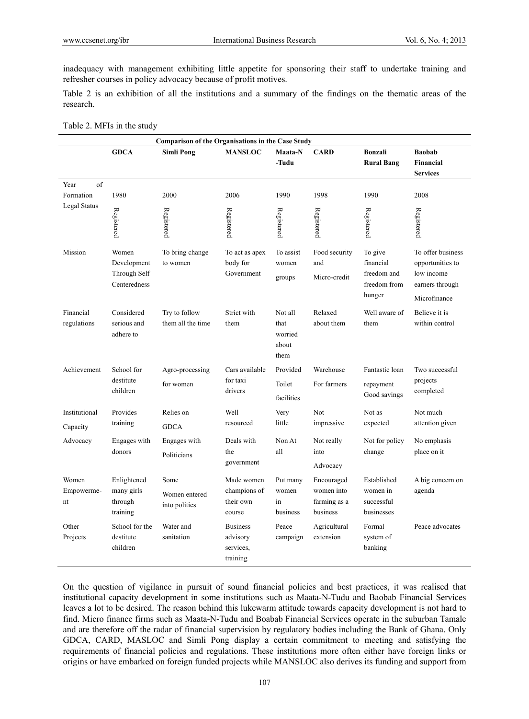inadequacy with management exhibiting little appetite for sponsoring their staff to undertake training and refresher courses in policy advocacy because of profit motives.

Table 2 is an exhibition of all the institutions and a summary of the findings on the thematic areas of the research.

| Comparison of the Organisations in the Case Study |                                                      |                                        |                                                      |                                             |                                                      |                                                               |                                                                                        |  |  |
|---------------------------------------------------|------------------------------------------------------|----------------------------------------|------------------------------------------------------|---------------------------------------------|------------------------------------------------------|---------------------------------------------------------------|----------------------------------------------------------------------------------------|--|--|
|                                                   | <b>GDCA</b>                                          | <b>Simli Pong</b>                      | <b>MANSLOC</b>                                       | Maata-N<br>-Tudu                            | <b>CARD</b>                                          | <b>Bonzali</b><br><b>Rural Bang</b>                           | <b>Baobab</b><br><b>Financial</b><br><b>Services</b>                                   |  |  |
| of<br>Year<br>Formation                           | 1980                                                 | 2000                                   | 2006                                                 | 1990                                        | 1998                                                 | 1990                                                          | 2008                                                                                   |  |  |
| Legal Status                                      | Registered                                           | Registered                             | Registered                                           | Registered                                  | Registered                                           | Registered                                                    | Registered                                                                             |  |  |
| Mission                                           | Women<br>Development<br>Through Self<br>Centeredness | To bring change<br>to women            | To act as apex<br>body for<br>Government             | To assist<br>women<br>groups                | Food security<br>and<br>Micro-credit                 | To give<br>financial<br>freedom and<br>freedom from<br>hunger | To offer business<br>opportunities to<br>low income<br>earners through<br>Microfinance |  |  |
| Financial<br>regulations                          | Considered<br>serious and<br>adhere to               | Try to follow<br>them all the time     | Strict with<br>them                                  | Not all<br>that<br>worried<br>about<br>them | Relaxed<br>about them                                | Well aware of<br>them                                         | Believe it is<br>within control                                                        |  |  |
| Achievement                                       | School for<br>destitute<br>children                  | Agro-processing<br>for women           | Cars available<br>for taxi<br>drivers                | Provided<br>Toilet<br>facilities            | Warehouse<br>For farmers                             | Fantastic loan<br>repayment<br>Good savings                   | Two successful<br>projects<br>completed                                                |  |  |
| Institutional<br>Capacity                         | Provides<br>training                                 | Relies on<br><b>GDCA</b>               | Well<br>resourced                                    | Very<br>little                              | Not<br>impressive                                    | Not as<br>expected                                            | Not much<br>attention given                                                            |  |  |
| Advocacy                                          | Engages with<br>donors                               | Engages with<br>Politicians            | Deals with<br>the<br>government                      | Non At<br>all                               | Not really<br>into<br>Advocacy                       | Not for policy<br>change                                      | No emphasis<br>place on it                                                             |  |  |
| Women<br>Empowerme-<br>nt                         | Enlightened<br>many girls<br>through<br>training     | Some<br>Women entered<br>into politics | Made women<br>champions of<br>their own<br>course    | Put many<br>women<br>in<br>business         | Encouraged<br>women into<br>farming as a<br>business | Established<br>women in<br>successful<br>businesses           | A big concern on<br>agenda                                                             |  |  |
| Other<br>Projects                                 | School for the<br>destitute<br>children              | Water and<br>sanitation                | <b>Business</b><br>advisory<br>services.<br>training | Peace<br>campaign                           | Agricultural<br>extension                            | Formal<br>system of<br>banking                                | Peace advocates                                                                        |  |  |

Table 2. MFIs in the study

On the question of vigilance in pursuit of sound financial policies and best practices, it was realised that institutional capacity development in some institutions such as Maata-N-Tudu and Baobab Financial Services leaves a lot to be desired. The reason behind this lukewarm attitude towards capacity development is not hard to find. Micro finance firms such as Maata-N-Tudu and Boabab Financial Services operate in the suburban Tamale and are therefore off the radar of financial supervision by regulatory bodies including the Bank of Ghana. Only GDCA, CARD, MASLOC and Simli Pong display a certain commitment to meeting and satisfying the requirements of financial policies and regulations. These institutions more often either have foreign links or origins or have embarked on foreign funded projects while MANSLOC also derives its funding and support from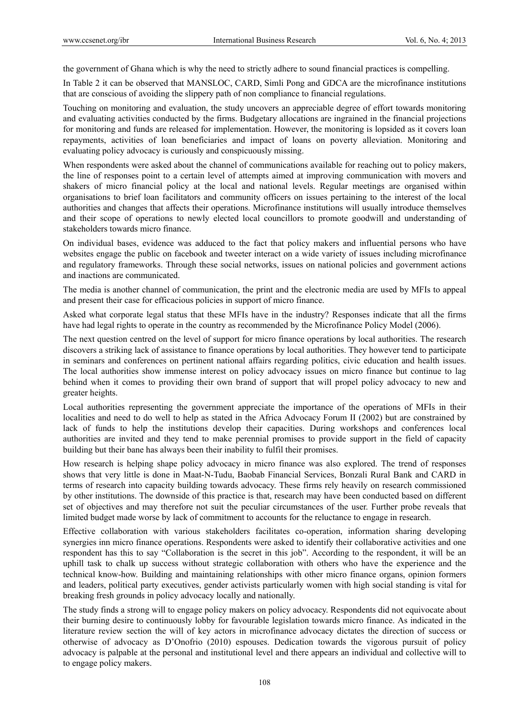the government of Ghana which is why the need to strictly adhere to sound financial practices is compelling.

In Table 2 it can be observed that MANSLOC, CARD, Simli Pong and GDCA are the microfinance institutions that are conscious of avoiding the slippery path of non compliance to financial regulations.

Touching on monitoring and evaluation, the study uncovers an appreciable degree of effort towards monitoring and evaluating activities conducted by the firms. Budgetary allocations are ingrained in the financial projections for monitoring and funds are released for implementation. However, the monitoring is lopsided as it covers loan repayments, activities of loan beneficiaries and impact of loans on poverty alleviation. Monitoring and evaluating policy advocacy is curiously and conspicuously missing.

When respondents were asked about the channel of communications available for reaching out to policy makers, the line of responses point to a certain level of attempts aimed at improving communication with movers and shakers of micro financial policy at the local and national levels. Regular meetings are organised within organisations to brief loan facilitators and community officers on issues pertaining to the interest of the local authorities and changes that affects their operations. Microfinance institutions will usually introduce themselves and their scope of operations to newly elected local councillors to promote goodwill and understanding of stakeholders towards micro finance.

On individual bases, evidence was adduced to the fact that policy makers and influential persons who have websites engage the public on facebook and tweeter interact on a wide variety of issues including microfinance and regulatory frameworks. Through these social networks, issues on national policies and government actions and inactions are communicated.

The media is another channel of communication, the print and the electronic media are used by MFIs to appeal and present their case for efficacious policies in support of micro finance.

Asked what corporate legal status that these MFIs have in the industry? Responses indicate that all the firms have had legal rights to operate in the country as recommended by the Microfinance Policy Model (2006).

The next question centred on the level of support for micro finance operations by local authorities. The research discovers a striking lack of assistance to finance operations by local authorities. They however tend to participate in seminars and conferences on pertinent national affairs regarding politics, civic education and health issues. The local authorities show immense interest on policy advocacy issues on micro finance but continue to lag behind when it comes to providing their own brand of support that will propel policy advocacy to new and greater heights.

Local authorities representing the government appreciate the importance of the operations of MFIs in their localities and need to do well to help as stated in the Africa Advocacy Forum II (2002) but are constrained by lack of funds to help the institutions develop their capacities. During workshops and conferences local authorities are invited and they tend to make perennial promises to provide support in the field of capacity building but their bane has always been their inability to fulfil their promises.

How research is helping shape policy advocacy in micro finance was also explored. The trend of responses shows that very little is done in Maat-N-Tudu, Baobab Financial Services, Bonzali Rural Bank and CARD in terms of research into capacity building towards advocacy. These firms rely heavily on research commissioned by other institutions. The downside of this practice is that, research may have been conducted based on different set of objectives and may therefore not suit the peculiar circumstances of the user. Further probe reveals that limited budget made worse by lack of commitment to accounts for the reluctance to engage in research.

Effective collaboration with various stakeholders facilitates co-operation, information sharing developing synergies inn micro finance operations. Respondents were asked to identify their collaborative activities and one respondent has this to say "Collaboration is the secret in this job". According to the respondent, it will be an uphill task to chalk up success without strategic collaboration with others who have the experience and the technical know-how. Building and maintaining relationships with other micro finance organs, opinion formers and leaders, political party executives, gender activists particularly women with high social standing is vital for breaking fresh grounds in policy advocacy locally and nationally.

The study finds a strong will to engage policy makers on policy advocacy. Respondents did not equivocate about their burning desire to continuously lobby for favourable legislation towards micro finance. As indicated in the literature review section the will of key actors in microfinance advocacy dictates the direction of success or otherwise of advocacy as D'Onofrio (2010) espouses. Dedication towards the vigorous pursuit of policy advocacy is palpable at the personal and institutional level and there appears an individual and collective will to to engage policy makers.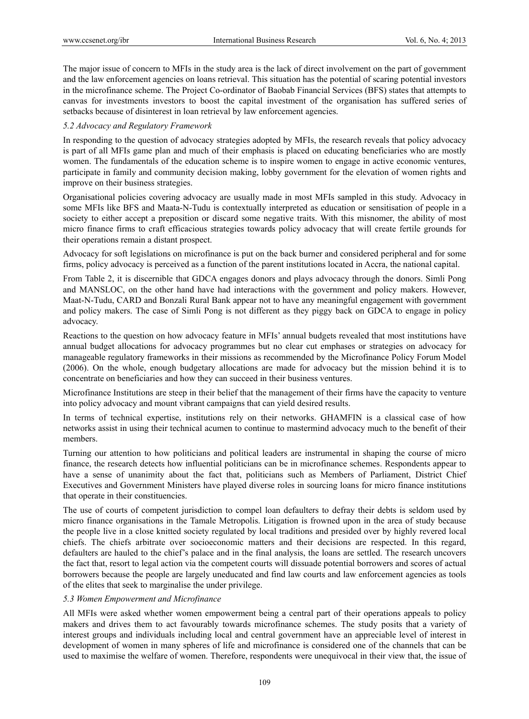The major issue of concern to MFIs in the study area is the lack of direct involvement on the part of government and the law enforcement agencies on loans retrieval. This situation has the potential of scaring potential investors in the microfinance scheme. The Project Co-ordinator of Baobab Financial Services (BFS) states that attempts to canvas for investments investors to boost the capital investment of the organisation has suffered series of setbacks because of disinterest in loan retrieval by law enforcement agencies.

## *5.2 Advocacy and Regulatory Framework*

In responding to the question of advocacy strategies adopted by MFIs, the research reveals that policy advocacy is part of all MFIs game plan and much of their emphasis is placed on educating beneficiaries who are mostly women. The fundamentals of the education scheme is to inspire women to engage in active economic ventures, participate in family and community decision making, lobby government for the elevation of women rights and improve on their business strategies.

Organisational policies covering advocacy are usually made in most MFIs sampled in this study. Advocacy in some MFIs like BFS and Maata-N-Tudu is contextually interpreted as education or sensitisation of people in a society to either accept a preposition or discard some negative traits. With this misnomer, the ability of most micro finance firms to craft efficacious strategies towards policy advocacy that will create fertile grounds for their operations remain a distant prospect.

Advocacy for soft legislations on microfinance is put on the back burner and considered peripheral and for some firms, policy advocacy is perceived as a function of the parent institutions located in Accra, the national capital.

From Table 2, it is discernible that GDCA engages donors and plays advocacy through the donors. Simli Pong and MANSLOC, on the other hand have had interactions with the government and policy makers. However, Maat-N-Tudu, CARD and Bonzali Rural Bank appear not to have any meaningful engagement with government and policy makers. The case of Simli Pong is not different as they piggy back on GDCA to engage in policy advocacy.

Reactions to the question on how advocacy feature in MFIs' annual budgets revealed that most institutions have annual budget allocations for advocacy programmes but no clear cut emphases or strategies on advocacy for manageable regulatory frameworks in their missions as recommended by the Microfinance Policy Forum Model (2006). On the whole, enough budgetary allocations are made for advocacy but the mission behind it is to concentrate on beneficiaries and how they can succeed in their business ventures.

Microfinance Institutions are steep in their belief that the management of their firms have the capacity to venture into policy advocacy and mount vibrant campaigns that can yield desired results.

In terms of technical expertise, institutions rely on their networks. GHAMFIN is a classical case of how networks assist in using their technical acumen to continue to mastermind advocacy much to the benefit of their members.

Turning our attention to how politicians and political leaders are instrumental in shaping the course of micro finance, the research detects how influential politicians can be in microfinance schemes. Respondents appear to have a sense of unanimity about the fact that, politicians such as Members of Parliament, District Chief Executives and Government Ministers have played diverse roles in sourcing loans for micro finance institutions that operate in their constituencies.

The use of courts of competent jurisdiction to compel loan defaulters to defray their debts is seldom used by micro finance organisations in the Tamale Metropolis. Litigation is frowned upon in the area of study because the people live in a close knitted society regulated by local traditions and presided over by highly revered local chiefs. The chiefs arbitrate over socioeconomic matters and their decisions are respected. In this regard, defaulters are hauled to the chief's palace and in the final analysis, the loans are settled. The research uncovers the fact that, resort to legal action via the competent courts will dissuade potential borrowers and scores of actual borrowers because the people are largely uneducated and find law courts and law enforcement agencies as tools of the elites that seek to marginalise the under privilege.

## *5.3 Women Empowerment and Microfinance*

All MFIs were asked whether women empowerment being a central part of their operations appeals to policy makers and drives them to act favourably towards microfinance schemes. The study posits that a variety of interest groups and individuals including local and central government have an appreciable level of interest in development of women in many spheres of life and microfinance is considered one of the channels that can be used to maximise the welfare of women. Therefore, respondents were unequivocal in their view that, the issue of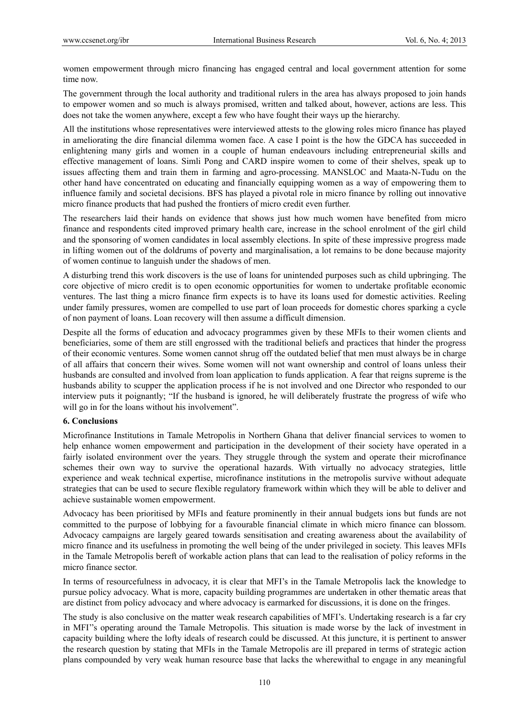women empowerment through micro financing has engaged central and local government attention for some time now.

The government through the local authority and traditional rulers in the area has always proposed to join hands to empower women and so much is always promised, written and talked about, however, actions are less. This does not take the women anywhere, except a few who have fought their ways up the hierarchy.

All the institutions whose representatives were interviewed attests to the glowing roles micro finance has played in ameliorating the dire financial dilemma women face. A case I point is the how the GDCA has succeeded in enlightening many girls and women in a couple of human endeavours including entrepreneurial skills and effective management of loans. Simli Pong and CARD inspire women to come of their shelves, speak up to issues affecting them and train them in farming and agro-processing. MANSLOC and Maata-N-Tudu on the other hand have concentrated on educating and financially equipping women as a way of empowering them to influence family and societal decisions. BFS has played a pivotal role in micro finance by rolling out innovative micro finance products that had pushed the frontiers of micro credit even further.

The researchers laid their hands on evidence that shows just how much women have benefited from micro finance and respondents cited improved primary health care, increase in the school enrolment of the girl child and the sponsoring of women candidates in local assembly elections. In spite of these impressive progress made in lifting women out of the doldrums of poverty and marginalisation, a lot remains to be done because majority of women continue to languish under the shadows of men.

A disturbing trend this work discovers is the use of loans for unintended purposes such as child upbringing. The core objective of micro credit is to open economic opportunities for women to undertake profitable economic ventures. The last thing a micro finance firm expects is to have its loans used for domestic activities. Reeling under family pressures, women are compelled to use part of loan proceeds for domestic chores sparking a cycle of non payment of loans. Loan recovery will then assume a difficult dimension.

Despite all the forms of education and advocacy programmes given by these MFIs to their women clients and beneficiaries, some of them are still engrossed with the traditional beliefs and practices that hinder the progress of their economic ventures. Some women cannot shrug off the outdated belief that men must always be in charge of all affairs that concern their wives. Some women will not want ownership and control of loans unless their husbands are consulted and involved from loan application to funds application. A fear that reigns supreme is the husbands ability to scupper the application process if he is not involved and one Director who responded to our interview puts it poignantly; "If the husband is ignored, he will deliberately frustrate the progress of wife who will go in for the loans without his involvement".

## **6. Conclusions**

Microfinance Institutions in Tamale Metropolis in Northern Ghana that deliver financial services to women to help enhance women empowerment and participation in the development of their society have operated in a fairly isolated environment over the years. They struggle through the system and operate their microfinance schemes their own way to survive the operational hazards. With virtually no advocacy strategies, little experience and weak technical expertise, microfinance institutions in the metropolis survive without adequate strategies that can be used to secure flexible regulatory framework within which they will be able to deliver and achieve sustainable women empowerment.

Advocacy has been prioritised by MFIs and feature prominently in their annual budgets ions but funds are not committed to the purpose of lobbying for a favourable financial climate in which micro finance can blossom. Advocacy campaigns are largely geared towards sensitisation and creating awareness about the availability of micro finance and its usefulness in promoting the well being of the under privileged in society. This leaves MFIs in the Tamale Metropolis bereft of workable action plans that can lead to the realisation of policy reforms in the micro finance sector.

In terms of resourcefulness in advocacy, it is clear that MFI's in the Tamale Metropolis lack the knowledge to pursue policy advocacy. What is more, capacity building programmes are undertaken in other thematic areas that are distinct from policy advocacy and where advocacy is earmarked for discussions, it is done on the fringes.

The study is also conclusive on the matter weak research capabilities of MFI's. Undertaking research is a far cry in MFI''s operating around the Tamale Metropolis. This situation is made worse by the lack of investment in capacity building where the lofty ideals of research could be discussed. At this juncture, it is pertinent to answer the research question by stating that MFIs in the Tamale Metropolis are ill prepared in terms of strategic action plans compounded by very weak human resource base that lacks the wherewithal to engage in any meaningful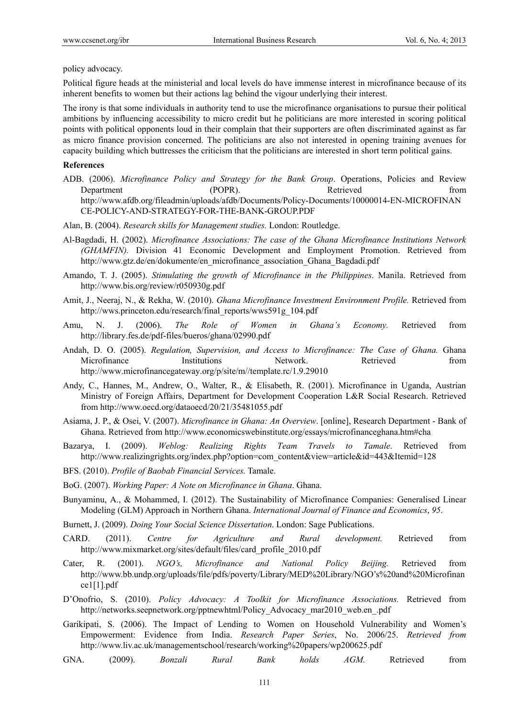policy advocacy.

Political figure heads at the ministerial and local levels do have immense interest in microfinance because of its inherent benefits to women but their actions lag behind the vigour underlying their interest.

The irony is that some individuals in authority tend to use the microfinance organisations to pursue their political ambitions by influencing accessibility to micro credit but he politicians are more interested in scoring political points with political opponents loud in their complain that their supporters are often discriminated against as far as micro finance provision concerned. The politicians are also not interested in opening training avenues for capacity building which buttresses the criticism that the politicians are interested in short term political gains.

### **References**

- ADB. (2006). *Microfinance Policy and Strategy for the Bank Group*. Operations, Policies and Review Department (POPR). Retrieved from http://www.afdb.org/fileadmin/uploads/afdb/Documents/Policy-Documents/10000014-EN-MICROFINAN CE-POLICY-AND-STRATEGY-FOR-THE-BANK-GROUP.PDF
- Alan, B. (2004). *Research skills for Management studies.* London: Routledge.
- Al-Bagdadi, H. (2002). *Microfinance Associations: The case of the Ghana Microfinance Institutions Network (GHAMFIN).* Division 41 Economic Development and Employment Promotion. Retrieved from http://www.gtz.de/en/dokumente/en\_microfinance\_association\_Ghana\_Bagdadi.pdf
- Amando, T. J. (2005). *Stimulating the growth of Microfinance in the Philippines*. Manila. Retrieved from http://www.bis.org/review/r050930g.pdf
- Amit, J., Neeraj, N., & Rekha, W. (2010). *Ghana Microfinance Investment Environment Profile.* Retrieved from http://wws.princeton.edu/research/final\_reports/wws591g\_104.pdf
- Amu, N. J. (2006). *The Role of Women in Ghana's Economy.* Retrieved from http://library.fes.de/pdf-files/bueros/ghana/02990.pdf
- Andah, D. O. (2005). *Regulation, Supervision, and Access to Microfinance: The Case of Ghana.* Ghana Microfinance Institutions Network. Retrieved from http://www.microfinancegateway.org/p/site/m//template.rc/1.9.29010
- Andy, C., Hannes, M., Andrew, O., Walter, R., & Elisabeth, R. (2001). Microfinance in Uganda, Austrian Ministry of Foreign Affairs, Department for Development Cooperation L&R Social Research. Retrieved from http://www.oecd.org/dataoecd/20/21/35481055.pdf
- Asiama, J. P., & Osei, V. (2007). *Microfinance in Ghana: An Overview*. [online], Research Department Bank of Ghana. Retrieved from http://www.economicswebinstitute.org/essays/microfinanceghana.htm#cha
- Bazarya, I. (2009). *Weblog: Realizing Rights Team Travels to Tamale*. Retrieved from http://www.realizingrights.org/index.php?option=com\_content&view=article&id=443&Itemid=128
- BFS. (2010). *Profile of Baobab Financial Services.* Tamale.
- BoG. (2007). *Working Paper: A Note on Microfinance in Ghana*. Ghana.
- Bunyaminu, A., & Mohammed, I. (2012). The Sustainability of Microfinance Companies: Generalised Linear Modeling (GLM) Approach in Northern Ghana. *International Journal of Finance and Economics*, *95*.
- Burnett, J. (2009). *Doing Your Social Science Dissertation*. London: Sage Publications.
- CARD. (2011). *Centre for Agriculture and Rural development.* Retrieved from http://www.mixmarket.org/sites/default/files/card\_profile\_2010.pdf
- Cater, R. (2001). *NGO's, Microfinance and National Policy Beijing.* Retrieved from http://www.bb.undp.org/uploads/file/pdfs/poverty/Library/MED%20Library/NGO's%20and%20Microfinan ce1[1].pdf
- D'Onofrio, S. (2010). *Policy Advocacy: A Toolkit for Microfinance Associations.* Retrieved from http://networks.seepnetwork.org/pptnewhtml/Policy\_Advocacy\_mar2010\_web.en\_.pdf
- Garikipati, S. (2006). The Impact of Lending to Women on Household Vulnerability and Women's Empowerment: Evidence from India. *Research Paper Series*, No. 2006/25. *Retrieved from* http://www.liv.ac.uk/managementschool/research/working%20papers/wp200625.pdf
- GNA. (2009). *Bonzali Rural Bank holds AGM.* Retrieved from

111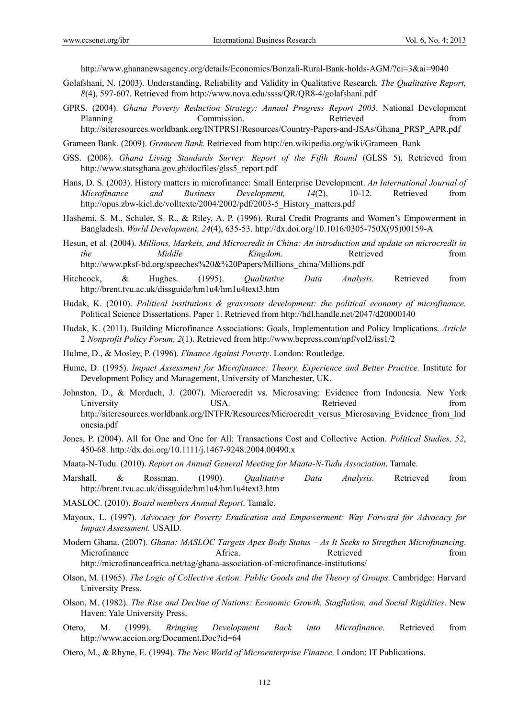http://www.ghananewsagency.org/details/Economics/Bonzali-Rural-Bank-holds-AGM/?ci=3&ai=9040

- Golafshani, N. (2003). Understanding, Reliability and Validity in Qualitative Research*. The Qualitative Report, 8*(4), 597-607. Retrieved from http://www.nova.edu/ssss/QR/QR8-4/golafshani.pdf
- GPRS. (2004). *Ghana Poverty Reduction Strategy: Annual Progress Report 2003*. National Development Planning Commission. Retrieved from from http://siteresources.worldbank.org/INTPRS1/Resources/Country-Papers-and-JSAs/Ghana\_PRSP\_APR.pdf
- Grameen Bank. (2009). *Grameen Bank.* Retrieved from http://en.wikipedia.org/wiki/Grameen\_Bank
- GSS. (2008). *Ghana Living Standards Survey: Report of the Fifth Round* (GLSS 5). Retrieved from http://www.statsghana.gov.gh/docfiles/glss5\_report.pdf
- Hans, D. S. (2003). History matters in microfinance: Small Enterprise Development. *An International Journal of Microfinance and Business Development, 14*(2), 10-12. Retrieved from http://opus.zbw-kiel.de/volltexte/2004/2002/pdf/2003-5\_History\_matters.pdf
- Hashemi, S. M., Schuler, S. R., & Riley, A. P. (1996). Rural Credit Programs and Women's Empowerment in Bangladesh. *World Development, 24*(4), 635-53. http://dx.doi.org/10.1016/0305-750X(95)00159-A
- Hesun, et al. (2004). *Millions, Markets, and Microcredit in China: An introduction and update on microcredit in the Middle Kingdom*. Retrieved from http://www.pksf-bd.org/speeches%20&%20Papers/Millions\_china/Millions.pdf
- Hitchcock, & Hughes. (1995). *Qualitative Data Analysis.* Retrieved from http://brent.tvu.ac.uk/dissguide/hm1u4/hm1u4text3.htm
- Hudak, K. (2010). *Political institutions & grassroots development: the political economy of microfinance.*  Political Science Dissertations. Paper 1. Retrieved from http://hdl.handle.net/2047/d20000140
- Hudak, K. (2011). Building Microfinance Associations: Goals, Implementation and Policy Implications. *Article*  2 *Nonprofit Policy Forum, 2*(1). Retrieved from http://www.bepress.com/npf/vol2/iss1/2
- Hulme, D., & Mosley, P. (1996). *Finance Against Poverty*. London: Routledge.
- Hume, D. (1995). *Impact Assessment for Microfinance: Theory, Experience and Better Practice*. Institute for Development Policy and Management, University of Manchester, UK.
- Johnston, D., & Morduch, J. (2007). Microcredit vs. Microsaving: Evidence from Indonesia. New York USA. The USA Retrieved from the USA. http://siteresources.worldbank.org/INTFR/Resources/Microcredit\_versus\_Microsaving\_Evidence\_from\_Ind onesia.pdf
- Jones, P. (2004). All for One and One for All: Transactions Cost and Collective Action. *Political Studies, 52*, 450-68. http://dx.doi.org/10.1111/j.1467-9248.2004.00490.x
- Maata-N-Tudu. (2010). *Report on Annual General Meeting for Maata-N-Tudu Association*. Tamale.
- Marshall, & Rossman. (1990). *Qualitative Data Analysis.* Retrieved from http://brent.tvu.ac.uk/dissguide/hm1u4/hm1u4text3.htm
- MASLOC. (2010). *Board members Annual Report*. Tamale.
- Mayoux, L. (1997). *Advocacy for Poverty Eradication and Empowerment: Way Forward for Advocacy for Impact Assessment.* USAID.
- Modern Ghana. (2007). *Ghana: MASLOC Targets Apex Body Status As It Seeks to Stregthen Microfinancing*. Microfinance **Africa** Africa. Retrieved **Retrieved** from http://microfinanceafrica.net/tag/ghana-association-of-microfinance-institutions/
- Olson, M. (1965). *The Logic of Collective Action: Public Goods and the Theory of Groups*. Cambridge: Harvard University Press.
- Olson, M. (1982). *The Rise and Decline of Nations: Economic Growth, Stagflation, and Social Rigidities*. New Haven: Yale University Press.
- Otero, M. (1999). *Bringing Development Back into Microfinance.* Retrieved from http://www.accion.org/Document.Doc?id=64
- Otero, M., & Rhyne, E. (1994). *The New World of Microenterprise Finance*. London: IT Publications.